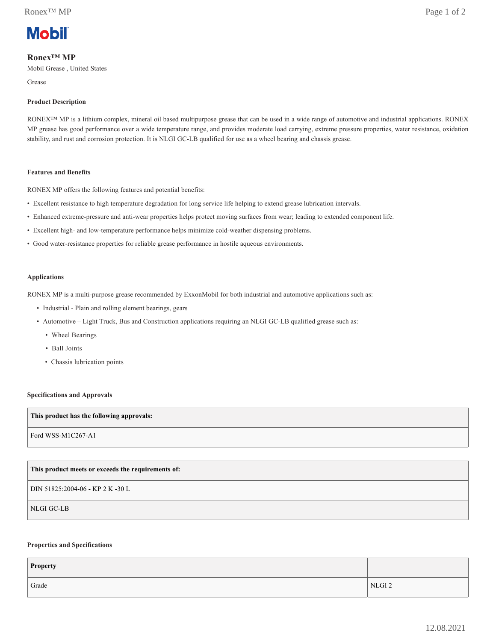

# **Ronex™ MP**

Mobil Grease , United States

Grease

## **Product Description**

RONEX™ MP is a lithium complex, mineral oil based multipurpose grease that can be used in a wide range of automotive and industrial applications. RONEX MP grease has good performance over a wide temperature range, and provides moderate load carrying, extreme pressure properties, water resistance, oxidation stability, and rust and corrosion protection. It is NLGI GC-LB qualified for use as a wheel bearing and chassis grease.

### **Features and Benefits**

RONEX MP offers the following features and potential benefits:

- Excellent resistance to high temperature degradation for long service life helping to extend grease lubrication intervals.
- Enhanced extreme-pressure and anti-wear properties helps protect moving surfaces from wear; leading to extended component life.
- Excellent high- and low-temperature performance helps minimize cold-weather dispensing problems.
- Good water-resistance properties for reliable grease performance in hostile aqueous environments.

### **Applications**

RONEX MP is a multi-purpose grease recommended by ExxonMobil for both industrial and automotive applications such as:

- Industrial Plain and rolling element bearings, gears
- Automotive Light Truck, Bus and Construction applications requiring an NLGI GC-LB qualified grease such as:
	- Wheel Bearings
	- Ball Joints
	- Chassis lubrication points

### **Specifications and Approvals**

### **This product has the following approvals:**

Ford WSS-M1C267-A1

## **This product meets or exceeds the requirements of:**

DIN 51825:2004-06 - KP 2 K -30 L

NLGI GC-LB

## **Properties and Specifications**

| Property |                   |
|----------|-------------------|
| Grade    | NLGI <sub>2</sub> |